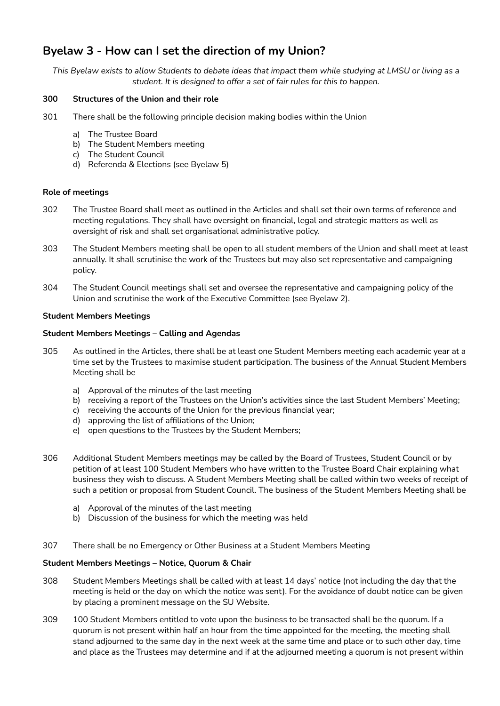# **Byelaw 3 - How can I set the direction of my Union?**

This Byelaw exists to allow Students to debate ideas that impact them while studying at LMSU or living as a *student. It is designed to offer a set of fair rules for this to happen.*

# **300 Structures of the Union and their role**

- 301 There shall be the following principle decision making bodies within the Union
	- a) The Trustee Board
	- b) The Student Members meeting
	- c) The Student Council
	- d) Referenda & Elections (see Byelaw 5)

## **Role of meetings**

- 302 The Trustee Board shall meet as outlined in the Articles and shall set their own terms of reference and meeting regulations. They shall have oversight on financial, legal and strategic matters as well as oversight of risk and shall set organisational administrative policy.
- 303 The Student Members meeting shall be open to all student members of the Union and shall meet at least annually. It shall scrutinise the work of the Trustees but may also set representative and campaigning policy.
- 304 The Student Council meetings shall set and oversee the representative and campaigning policy of the Union and scrutinise the work of the Executive Committee (see Byelaw 2).

## **Student Members Meetings**

## **Student Members Meetings – Calling and Agendas**

- 305 As outlined in the Articles, there shall be at least one Student Members meeting each academic year at a time set by the Trustees to maximise student participation. The business of the Annual Student Members Meeting shall be
	- a) Approval of the minutes of the last meeting
	- b) receiving a report of the Trustees on the Union's activities since the last Student Members' Meeting;
	- c) receiving the accounts of the Union for the previous financial year;
	- d) approving the list of affiliations of the Union;
	- e) open questions to the Trustees by the Student Members;
- 306 Additional Student Members meetings may be called by the Board of Trustees, Student Council or by petition of at least 100 Student Members who have written to the Trustee Board Chair explaining what business they wish to discuss. A Student Members Meeting shall be called within two weeks of receipt of such a petition or proposal from Student Council. The business of the Student Members Meeting shall be
	- a) Approval of the minutes of the last meeting
	- b) Discussion of the business for which the meeting was held
- 307 There shall be no Emergency or Other Business at a Student Members Meeting

# **Student Members Meetings – Notice, Quorum & Chair**

- 308 Student Members Meetings shall be called with at least 14 days' notice (not including the day that the meeting is held or the day on which the notice was sent). For the avoidance of doubt notice can be given by placing a prominent message on the SU Website.
- 309 100 Student Members entitled to vote upon the business to be transacted shall be the quorum. If a quorum is not present within half an hour from the time appointed for the meeting, the meeting shall stand adjourned to the same day in the next week at the same time and place or to such other day, time and place as the Trustees may determine and if at the adjourned meeting a quorum is not present within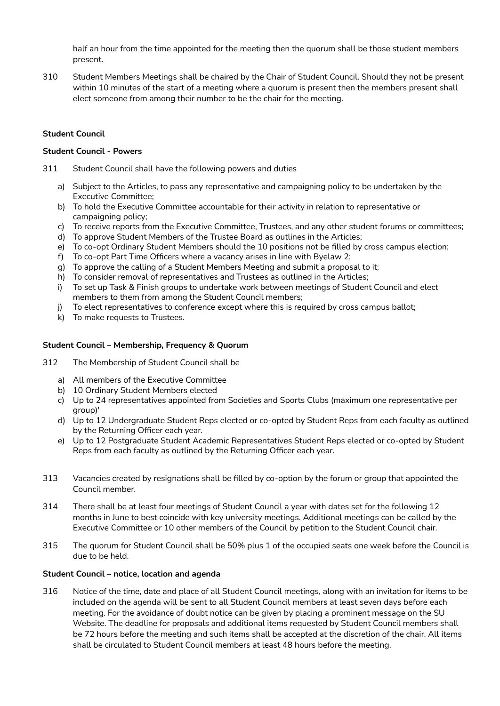half an hour from the time appointed for the meeting then the quorum shall be those student members present.

310 Student Members Meetings shall be chaired by the Chair of Student Council. Should they not be present within 10 minutes of the start of a meeting where a quorum is present then the members present shall elect someone from among their number to be the chair for the meeting.

# **Student Council**

## **Student Council - Powers**

- 311 Student Council shall have the following powers and duties
	- a) Subject to the Articles, to pass any representative and campaigning policy to be undertaken by the Executive Committee;
	- b) To hold the Executive Committee accountable for their activity in relation to representative or campaigning policy;
	- c) To receive reports from the Executive Committee, Trustees, and any other student forums or committees;
	- d) To approve Student Members of the Trustee Board as outlines in the Articles;
	- e) To co-opt Ordinary Student Members should the 10 positions not be filled by cross campus election;
	- f) To co-opt Part Time Officers where a vacancy arises in line with Byelaw 2;
	- g) To approve the calling of a Student Members Meeting and submit a proposal to it;
	- h) To consider removal of representatives and Trustees as outlined in the Articles;
	- i) To set up Task & Finish groups to undertake work between meetings of Student Council and elect members to them from among the Student Council members;
	- j) To elect representatives to conference except where this is required by cross campus ballot;
	- k) To make requests to Trustees.

## **Student Council – Membership, Frequency & Quorum**

- 312 The Membership of Student Council shall be
	- a) All members of the Executive Committee
	- b) 10 Ordinary Student Members elected
	- c) Up to 24 representatives appointed from Societies and Sports Clubs (maximum one representative per group)'
	- d) Up to 12 Undergraduate Student Reps elected or co-opted by Student Reps from each faculty as outlined by the Returning Officer each year.
	- e) Up to 12 Postgraduate Student Academic Representatives Student Reps elected or co-opted by Student Reps from each faculty as outlined by the Returning Officer each year.
- 313 Vacancies created by resignations shall be filled by co-option by the forum or group that appointed the Council member.
- 314 There shall be at least four meetings of Student Council a year with dates set for the following 12 months in June to best coincide with key university meetings. Additional meetings can be called by the Executive Committee or 10 other members of the Council by petition to the Student Council chair.
- 315 The quorum for Student Council shall be 50% plus 1 of the occupied seats one week before the Council is due to be held.

#### **Student Council – notice, location and agenda**

316 Notice of the time, date and place of all Student Council meetings, along with an invitation for items to be included on the agenda will be sent to all Student Council members at least seven days before each meeting. For the avoidance of doubt notice can be given by placing a prominent message on the SU Website. The deadline for proposals and additional items requested by Student Council members shall be 72 hours before the meeting and such items shall be accepted at the discretion of the chair. All items shall be circulated to Student Council members at least 48 hours before the meeting.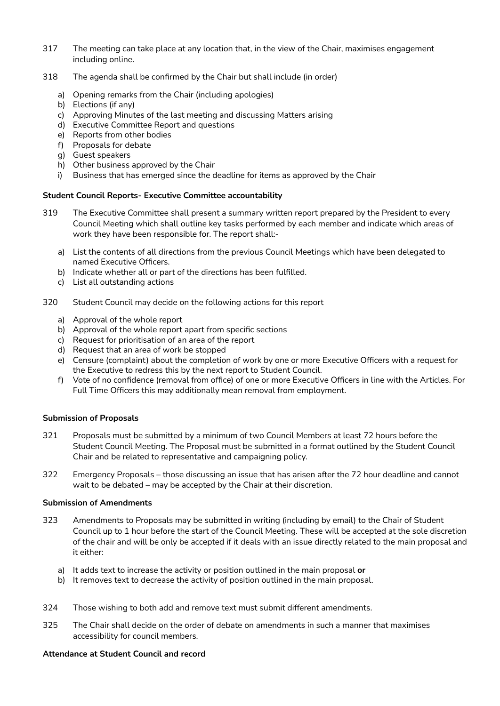- 317 The meeting can take place at any location that, in the view of the Chair, maximises engagement including online.
- 318 The agenda shall be confirmed by the Chair but shall include (in order)
	- a) Opening remarks from the Chair (including apologies)
	- b) Elections (if any)
	- c) Approving Minutes of the last meeting and discussing Matters arising
	- d) Executive Committee Report and questions
	- e) Reports from other bodies
	- f) Proposals for debate
	- g) Guest speakers
	- h) Other business approved by the Chair
	- i) Business that has emerged since the deadline for items as approved by the Chair

## **Student Council Reports- Executive Committee accountability**

- 319 The Executive Committee shall present a summary written report prepared by the President to every Council Meeting which shall outline key tasks performed by each member and indicate which areas of work they have been responsible for. The report shall:
	- a) List the contents of all directions from the previous Council Meetings which have been delegated to named Executive Officers.
	- b) Indicate whether all or part of the directions has been fulfilled.
	- c) List all outstanding actions
- 320 Student Council may decide on the following actions for this report
	- a) Approval of the whole report
	- b) Approval of the whole report apart from specific sections
	- c) Request for prioritisation of an area of the report
	- d) Request that an area of work be stopped
	- e) Censure (complaint) about the completion of work by one or more Executive Officers with a request for the Executive to redress this by the next report to Student Council.
	- f) Vote of no confidence (removal from office) of one or more Executive Officers in line with the Articles. For Full Time Officers this may additionally mean removal from employment.

# **Submission of Proposals**

- 321 Proposals must be submitted by a minimum of two Council Members at least 72 hours before the Student Council Meeting. The Proposal must be submitted in a format outlined by the Student Council Chair and be related to representative and campaigning policy.
- 322 Emergency Proposals those discussing an issue that has arisen after the 72 hour deadline and cannot wait to be debated – may be accepted by the Chair at their discretion.

#### **Submission of Amendments**

- 323 Amendments to Proposals may be submitted in writing (including by email) to the Chair of Student Council up to 1 hour before the start of the Council Meeting. These will be accepted at the sole discretion of the chair and will be only be accepted if it deals with an issue directly related to the main proposal and it either:
	- a) It adds text to increase the activity or position outlined in the main proposal **or**
	- b) It removes text to decrease the activity of position outlined in the main proposal.
- 324 Those wishing to both add and remove text must submit different amendments.
- 325 The Chair shall decide on the order of debate on amendments in such a manner that maximises accessibility for council members.

#### **Attendance at Student Council and record**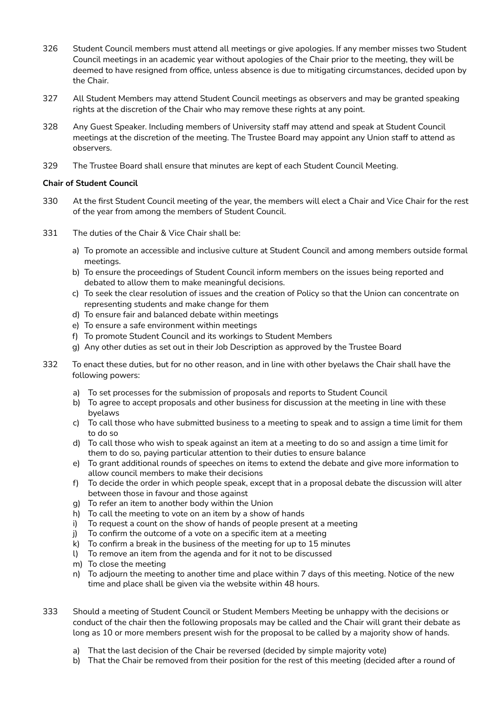- 326 Student Council members must attend all meetings or give apologies. If any member misses two Student Council meetings in an academic year without apologies of the Chair prior to the meeting, they will be deemed to have resigned from office, unless absence is due to mitigating circumstances, decided upon by the Chair.
- 327 All Student Members may attend Student Council meetings as observers and may be granted speaking rights at the discretion of the Chair who may remove these rights at any point.
- 328 Any Guest Speaker. Including members of University staff may attend and speak at Student Council meetings at the discretion of the meeting. The Trustee Board may appoint any Union staff to attend as observers.
- 329 The Trustee Board shall ensure that minutes are kept of each Student Council Meeting.

# **Chair of Student Council**

- 330 At the first Student Council meeting of the year, the members will elect a Chair and Vice Chair for the rest of the year from among the members of Student Council.
- 331 The duties of the Chair & Vice Chair shall be:
	- a) To promote an accessible and inclusive culture at Student Council and among members outside formal meetings.
	- b) To ensure the proceedings of Student Council inform members on the issues being reported and debated to allow them to make meaningful decisions.
	- c) To seek the clear resolution of issues and the creation of Policy so that the Union can concentrate on representing students and make change for them
	- d) To ensure fair and balanced debate within meetings
	- e) To ensure a safe environment within meetings
	- f) To promote Student Council and its workings to Student Members
	- g) Any other duties as set out in their Job Description as approved by the Trustee Board
- 332 To enact these duties, but for no other reason, and in line with other byelaws the Chair shall have the following powers:
	- a) To set processes for the submission of proposals and reports to Student Council
	- b) To agree to accept proposals and other business for discussion at the meeting in line with these byelaws
	- c) To call those who have submitted business to a meeting to speak and to assign a time limit for them to do so
	- d) To call those who wish to speak against an item at a meeting to do so and assign a time limit for them to do so, paying particular attention to their duties to ensure balance
	- e) To grant additional rounds of speeches on items to extend the debate and give more information to allow council members to make their decisions
	- f) To decide the order in which people speak, except that in a proposal debate the discussion will alter between those in favour and those against
	- g) To refer an item to another body within the Union
	- h) To call the meeting to vote on an item by a show of hands
	- i) To request a count on the show of hands of people present at a meeting
	- j) To confirm the outcome of a vote on a specific item at a meeting
	- k) To confirm a break in the business of the meeting for up to 15 minutes
	- l) To remove an item from the agenda and for it not to be discussed
	- m) To close the meeting
	- n) To adjourn the meeting to another time and place within 7 days of this meeting. Notice of the new time and place shall be given via the website within 48 hours.
- 333 Should a meeting of Student Council or Student Members Meeting be unhappy with the decisions or conduct of the chair then the following proposals may be called and the Chair will grant their debate as long as 10 or more members present wish for the proposal to be called by a majority show of hands.
	- a) That the last decision of the Chair be reversed (decided by simple majority vote)
	- b) That the Chair be removed from their position for the rest of this meeting (decided after a round of